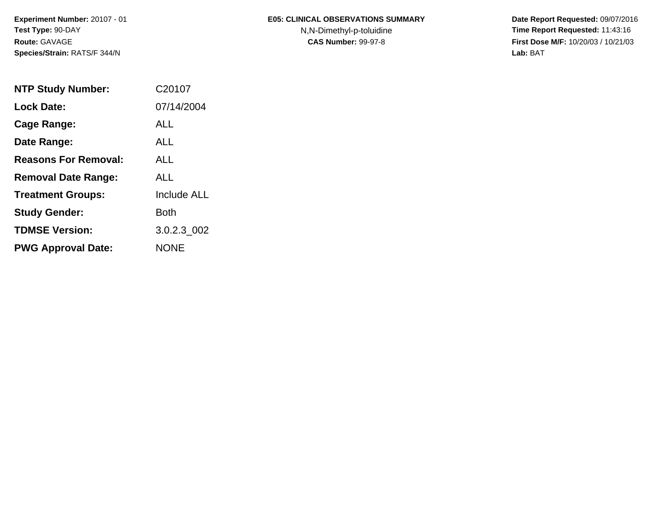## **E05: CLINICAL OBSERVATIONS SUMMARY**

N,N-Dimethyl-p-toluidine

 **Date Report Requested:** 09/07/2016 **Time Report Requested:** 11:43:16 **First Dose M/F:** 10/20/03 / 10/21/03<br>**Lab:** BAT **Lab:** BAT

| <b>NTP Study Number:</b>    | C <sub>20107</sub> |
|-----------------------------|--------------------|
| <b>Lock Date:</b>           | 07/14/2004         |
| Cage Range:                 | ALL.               |
| Date Range:                 | ALL.               |
| <b>Reasons For Removal:</b> | AI I               |
| <b>Removal Date Range:</b>  | ALL                |
| <b>Treatment Groups:</b>    | <b>Include ALL</b> |
| <b>Study Gender:</b>        | Both               |
| <b>TDMSE Version:</b>       | 3.0.2.3_002        |
| <b>PWG Approval Date:</b>   | <b>NONE</b>        |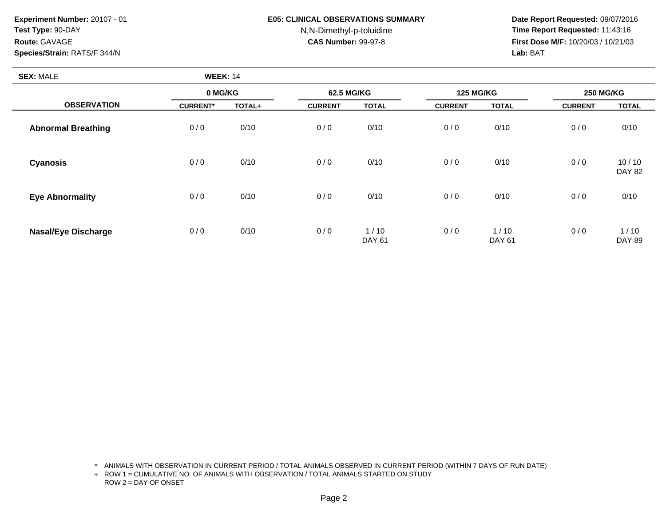### **E05: CLINICAL OBSERVATIONS SUMMARY**

# N,N-Dimethyl-p-toluidine

 **Date Report Requested:** 09/07/2016 **Time Report Requested:** 11:43:16 **First Dose M/F:** 10/20/03 / 10/21/03<br>**Lab:** BAT **Lab:** BAT

| <b>SEX: MALE</b>           | <b>WEEK: 14</b> |        |                |                       |                  |                       |                  |                        |
|----------------------------|-----------------|--------|----------------|-----------------------|------------------|-----------------------|------------------|------------------------|
|                            | 0 MG/KG         |        | 62.5 MG/KG     |                       | <b>125 MG/KG</b> |                       | <b>250 MG/KG</b> |                        |
| <b>OBSERVATION</b>         | <b>CURRENT*</b> | TOTAL+ | <b>CURRENT</b> | <b>TOTAL</b>          | <b>CURRENT</b>   | <b>TOTAL</b>          | <b>CURRENT</b>   | <b>TOTAL</b>           |
| <b>Abnormal Breathing</b>  | 0/0             | 0/10   | 0/0            | 0/10                  | 0/0              | 0/10                  | 0/0              | 0/10                   |
| Cyanosis                   | 0/0             | 0/10   | 0/0            | 0/10                  | 0/0              | 0/10                  | 0/0              | 10/10<br><b>DAY 82</b> |
| <b>Eye Abnormality</b>     | 0/0             | 0/10   | 0/0            | 0/10                  | 0/0              | 0/10                  | 0/0              | 0/10                   |
| <b>Nasal/Eye Discharge</b> | 0/0             | 0/10   | 0/0            | 1/10<br><b>DAY 61</b> | 0/0              | 1/10<br><b>DAY 61</b> | 0/0              | 1/10<br><b>DAY 89</b>  |

\* ANIMALS WITH OBSERVATION IN CURRENT PERIOD / TOTAL ANIMALS OBSERVED IN CURRENT PERIOD (WITHIN 7 DAYS OF RUN DATE)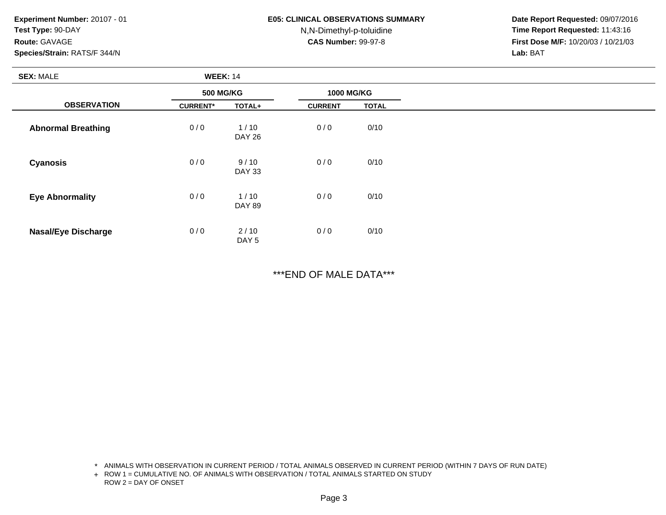#### **E05: CLINICAL OBSERVATIONS SUMMARY**

N,N-Dimethyl-p-toluidine

 **Date Report Requested:** 09/07/2016 **Time Report Requested:** 11:43:16 **First Dose M/F:** 10/20/03 / 10/21/03<br>**Lab:** BAT **Lab:** BAT

| <b>SEX: MALE</b>           | <b>WEEK: 14</b>  |                          |                   |              |
|----------------------------|------------------|--------------------------|-------------------|--------------|
|                            | <b>500 MG/KG</b> |                          | <b>1000 MG/KG</b> |              |
| <b>OBSERVATION</b>         | <b>CURRENT*</b>  | TOTAL+                   | <b>CURRENT</b>    | <b>TOTAL</b> |
| <b>Abnormal Breathing</b>  | 0/0              | $1/10$<br><b>DAY 26</b>  | 0/0               | 0/10         |
| <b>Cyanosis</b>            | 0/0              | 9/10<br><b>DAY 33</b>    | 0/0               | 0/10         |
| <b>Eye Abnormality</b>     | 0/0              | 1/10<br><b>DAY 89</b>    | 0/0               | 0/10         |
| <b>Nasal/Eye Discharge</b> | 0/0              | 2/10<br>DAY <sub>5</sub> | 0/0               | 0/10         |

\*\*\*END OF MALE DATA\*\*\*

\* ANIMALS WITH OBSERVATION IN CURRENT PERIOD / TOTAL ANIMALS OBSERVED IN CURRENT PERIOD (WITHIN 7 DAYS OF RUN DATE)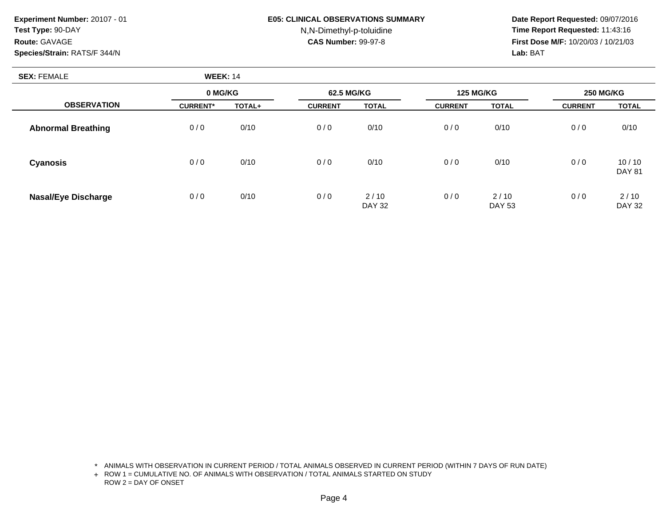### **E05: CLINICAL OBSERVATIONS SUMMARY**

# N,N-Dimethyl-p-toluidine

 **Date Report Requested:** 09/07/2016 **Time Report Requested:** 11:43:16 **First Dose M/F:** 10/20/03 / 10/21/03<br>**Lab:** BAT **Lab:** BAT

| <b>SEX: FEMALE</b>         | <b>WEEK: 14</b> |        |                |                       |                  |                       |                  |                        |
|----------------------------|-----------------|--------|----------------|-----------------------|------------------|-----------------------|------------------|------------------------|
|                            | 0 MG/KG         |        | 62.5 MG/KG     |                       | <b>125 MG/KG</b> |                       | <b>250 MG/KG</b> |                        |
| <b>OBSERVATION</b>         | <b>CURRENT*</b> | TOTAL+ | <b>CURRENT</b> | <b>TOTAL</b>          | <b>CURRENT</b>   | <b>TOTAL</b>          | <b>CURRENT</b>   | <b>TOTAL</b>           |
| <b>Abnormal Breathing</b>  | 0/0             | 0/10   | 0/0            | 0/10                  | 0/0              | 0/10                  | 0/0              | 0/10                   |
| Cyanosis                   | 0/0             | 0/10   | 0/0            | 0/10                  | 0/0              | 0/10                  | 0/0              | 10/10<br><b>DAY 81</b> |
| <b>Nasal/Eye Discharge</b> | 0/0             | 0/10   | 0/0            | 2/10<br><b>DAY 32</b> | 0/0              | 2/10<br><b>DAY 53</b> | 0/0              | 2/10<br><b>DAY 32</b>  |

\* ANIMALS WITH OBSERVATION IN CURRENT PERIOD / TOTAL ANIMALS OBSERVED IN CURRENT PERIOD (WITHIN 7 DAYS OF RUN DATE)